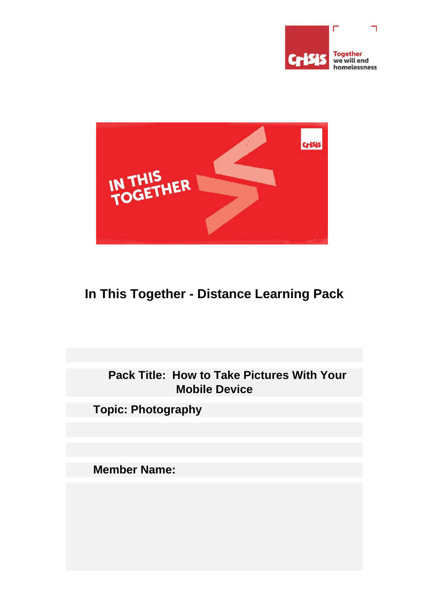



# **In This Together - Distance Learning Pack**

**Pack Title: How to Take Pictures With Your Mobile Device**

**Topic: Photography**

**Member Name:**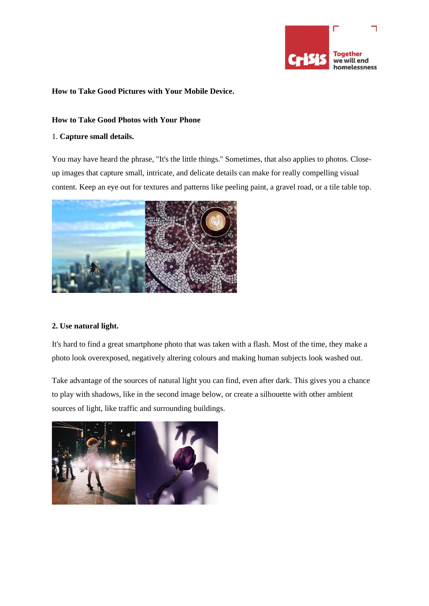

#### **How to Take Good Pictures with Your Mobile Device.**

#### **How to Take Good Photos with Your Phone**

#### 1. **Capture small details.**

You may have heard the phrase, "It's the little things." Sometimes, that also applies to photos. Closeup images that capture small, intricate, and delicate details can make for really compelling visual content. Keep an eye out for textures and patterns like peeling paint, a gravel road, or a tile table top.



#### **2. Use natural light.**

It's hard to find a great smartphone photo that was taken with a flash. Most of the time, they make a photo look overexposed, negatively altering colours and making human subjects look washed out.

Take advantage of the sources of natural light you can find, even after dark. This gives you a chance to play with shadows, like in the second image below, or create a silhouette with other ambient sources of light, like traffic and surrounding buildings.

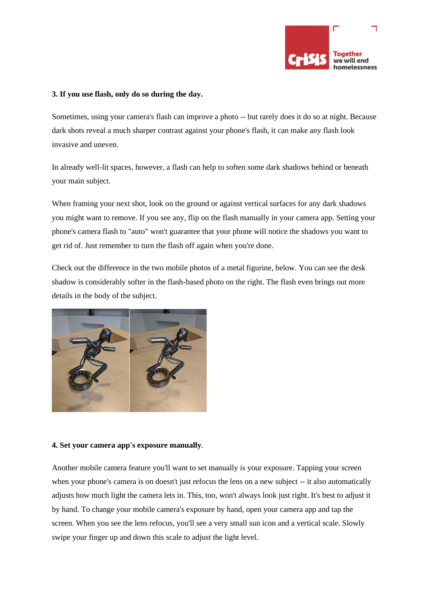

#### **3. If you use flash, only do so during the day.**

Sometimes, using your camera's flash can improve a photo -- but rarely does it do so at night. Because dark shots reveal a much sharper contrast against your phone's flash, it can make any flash look invasive and uneven.

In already well-lit spaces, however, a flash can help to soften some dark shadows behind or beneath your main subject.

When framing your next shot, look on the ground or against vertical surfaces for any dark shadows you might want to remove. If you see any, flip on the flash manually in your camera app. Setting your phone's camera flash to "auto" won't guarantee that your phone will notice the shadows you want to get rid of. Just remember to turn the flash off again when you're done.

Check out the difference in the two mobile photos of a metal figurine, below. You can see the desk shadow is considerably softer in the flash-based photo on the right. The flash even brings out more details in the body of the subject.



#### **4. Set your camera app's exposure manually**.

Another mobile camera feature you'll want to set manually is your exposure. Tapping your screen when your phone's camera is on doesn't just refocus the lens on a new subject -- it also automatically adjusts how much light the camera lets in. This, too, won't always look just right. It's best to adjust it by hand. To change your mobile camera's exposure by hand, open your camera app and tap the screen. When you see the lens refocus, you'll see a very small sun icon and a vertical scale. Slowly swipe your finger up and down this scale to adjust the light level.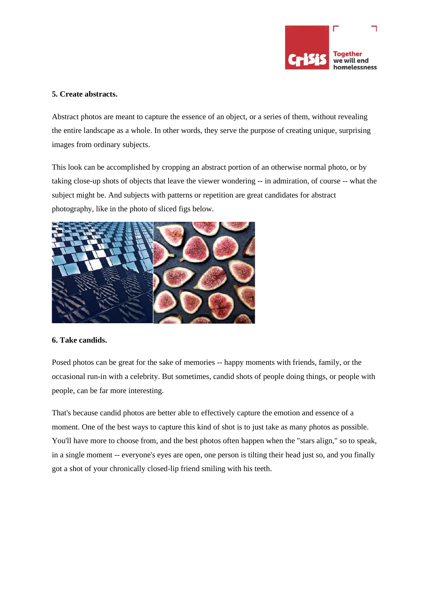

#### **5. Create abstracts.**

Abstract photos are meant to capture the essence of an object, or a series of them, without revealing the entire landscape as a whole. In other words, they serve the purpose of creating unique, surprising images from ordinary subjects.

This look can be accomplished by cropping an abstract portion of an otherwise normal photo, or by taking close-up shots of objects that leave the viewer wondering -- in admiration, of course -- what the subject might be. And subjects with patterns or repetition are great candidates for abstract photography, like in the photo of sliced figs below.



#### **6. Take candids.**

Posed photos can be great for the sake of memories -- happy moments with friends, family, or the occasional run-in with a celebrity. But sometimes, candid shots of people doing things, or people with people, can be far more interesting.

That's because candid photos are better able to effectively capture the emotion and essence of a moment. One of the best ways to capture this kind of shot is to just take as many photos as possible. You'll have more to choose from, and the best photos often happen when the "stars align," so to speak, in a single moment -- everyone's eyes are open, one person is tilting their head just so, and you finally got a shot of your chronically closed-lip friend smiling with his teeth.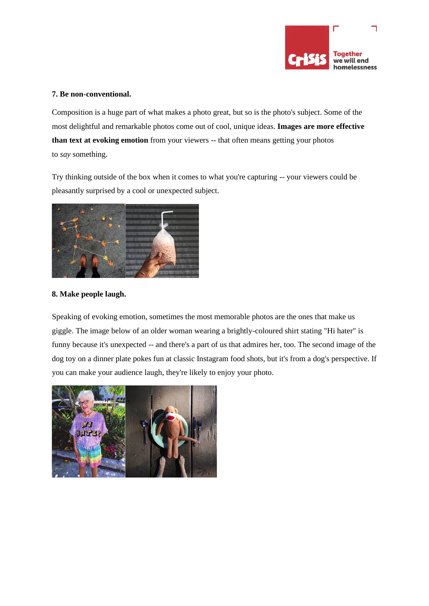

#### **7. Be non-conventional.**

Composition is a huge part of what makes a photo great, but so is the photo's subject. Some of the most delightful and remarkable photos come out of cool, unique ideas. **Images are more [effective](https://www.liveplan.com/blog/2016/01/scientific-reasons-why-you-should-present-your-data-visually/) than text at evoking [emotion](https://www.liveplan.com/blog/2016/01/scientific-reasons-why-you-should-present-your-data-visually/)** from your viewers -- that often means getting your photos to *say* something.

Try thinking outside of the box when it comes to what you're capturing -- your viewers could be pleasantly surprised by a cool or unexpected subject.



#### **8. Make people laugh.**

Speaking of evoking emotion, sometimes the most memorable photos are the ones that make us giggle. The image below of an older woman wearing a brightly-coloured shirt stating "Hi hater" is funny because it's unexpected -- and there's a part of us that admires her, too. The second image of the dog toy on a dinner plate pokes fun at classic Instagram food shots, but it's from a dog's perspective. If you can make your audience laugh, they're likely to enjoy your photo.

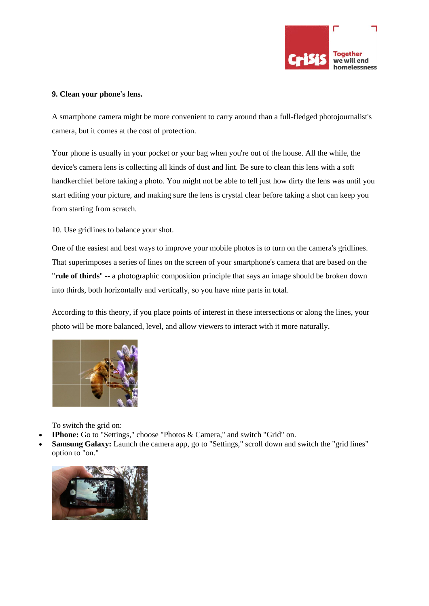

#### **9. Clean your phone's lens.**

A smartphone camera might be more convenient to carry around than a full-fledged photojournalist's camera, but it comes at the cost of protection.

Your phone is usually in your pocket or your bag when you're out of the house. All the while, the device's camera lens is collecting all kinds of dust and lint. Be sure to clean this lens with a soft handkerchief before taking a photo. You might not be able to tell just how dirty the lens was until you start editing your picture, and making sure the lens is crystal clear before taking a shot can keep you from starting from scratch.

10. Use gridlines to balance your shot.

One of the easiest and best ways to improve your mobile photos is to turn on the camera's gridlines. That superimposes a series of lines on the screen of your smartphone's camera that are based on the "**rule of [thirds](http://digital-photography-school.com/rule-of-thirds/)**" -- a photographic composition principle that says an image should be broken down into thirds, both horizontally and vertically, so you have nine parts in total.

According to this theory, if you place points of interest in these intersections or along the lines, your photo will be more balanced, level, and allow viewers to interact with it more naturally.



To switch the grid on:

- **IPhone:** Go to "Settings," choose "Photos & Camera," and switch "Grid" on.
- **Samsung Galaxy:** Launch the camera app, go to "Settings," scroll down and switch the "grid lines" option to "on."

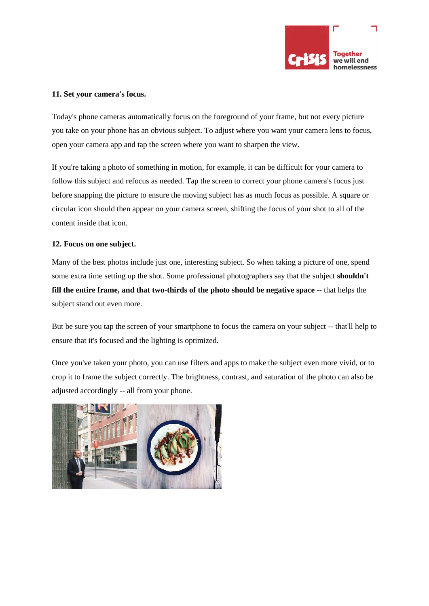

#### **11. Set your camera's focus.**

Today's phone cameras automatically focus on the foreground of your frame, but not every picture you take on your phone has an obvious subject. To adjust where you want your camera lens to focus, open your camera app and tap the screen where you want to sharpen the view.

If you're taking a photo of something in motion, for example, it can be difficult for your camera to follow this subject and refocus as needed. Tap the screen to correct your phone camera's focus just before snapping the picture to ensure the moving subject has as much focus as possible. A square or circular icon should then appear on your camera screen, shifting the focus of your shot to all of the content inside that icon.

#### **12. Focus on one subject.**

Many of the best photos include just one, interesting subject. So when taking a picture of one, spend some extra time setting up the shot. Some professional photographers say that the subject **[shouldn't](http://www.photokonnexion.com/the-simple-secrets-of-the-single-subject-shot/) fill the entire frame, and that [two-thirds](http://www.photokonnexion.com/the-simple-secrets-of-the-single-subject-shot/) of the photo should be negative space** -- that helps the subject stand out even more.

But be sure you tap the screen of your smartphone to focus the camera on your subject -- that'll help to ensure that it's focused and the lighting is optimized.

Once you've taken your photo, you can use filters and apps to make the subject even more vivid, or to crop it to frame the subject correctly. The brightness, contrast, and saturation of the photo can also be adjusted accordingly -- all from your phone.

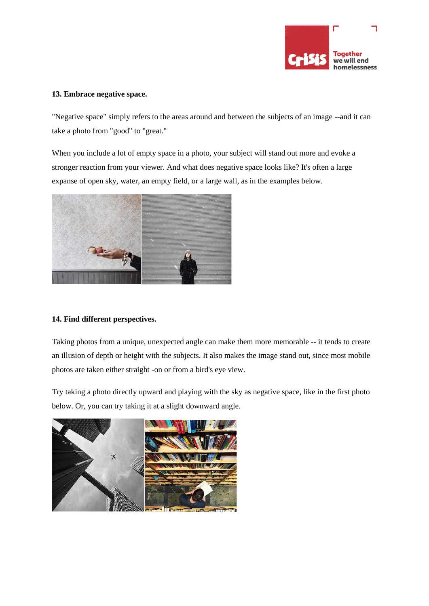

#### **13. Embrace negative space.**

"Negative space" simply refers to the areas around and between the subjects of an image --and it can take a photo from "good" to "great."

When you include a lot of empty space in a photo, your subject will stand out more and evoke a stronger reaction from your viewer. And what does negative space looks like? It's often a large expanse of open sky, water, an empty field, or a large wall, as in the examples below.



## **14. Find different perspectives.**

Taking photos from a unique, unexpected angle can make them more memorable -- it tends to create an illusion of depth or height with the subjects. It also makes the image stand out, since most mobile photos are taken either straight -on or from a bird's eye view.

Try taking a photo directly upward and playing with the sky as negative space, like in the first photo below. Or, you can try taking it at a slight downward angle.

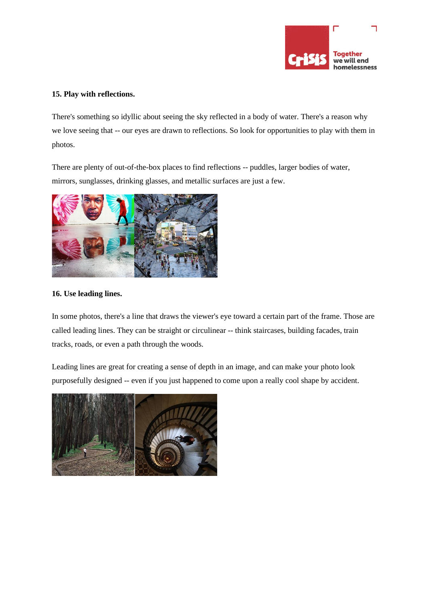

### **15. Play with reflections.**

There's something so idyllic about seeing the sky reflected in a body of water. There's a reason why we love seeing that -- our eyes are drawn to reflections. So look for opportunities to play with them in photos.

There are plenty of out-of-the-box places to find reflections -- puddles, larger bodies of water, mirrors, sunglasses, drinking glasses, and metallic surfaces are just a few.



#### **16. Use leading lines.**

In some photos, there's a line that draws the viewer's eye toward a certain part of the frame. Those are called leading lines. They can be straight or circulinear -- think staircases, building facades, train tracks, roads, or even a path through the woods.

Leading lines are great for creating a sense of depth in an image, and can make your photo look purposefully designed -- even if you just happened to come upon a really cool shape by accident.

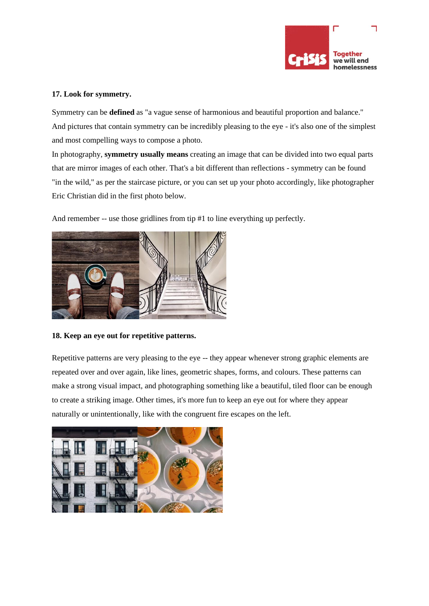

#### **17. Look for symmetry.**

Symmetry can be **[defined](https://books.google.com/books?id=DxmcCgAAQBAJ&pg=PA24&lpg=PA24&dq=%E2%80%9CSymmetry+is+a+vague+sense+of+harmonious+and+beautiful+proportion+and+balance%E2%80%9D.&source=bl&ots=Ms5K2cCG4a&sig=m6qY0wE_lVbWxPdvHkp3-9GDB3E&hl=en&sa=X&ved=0ahUKEwjV___Ms6fJAhVHGT4KHdJoAvkQ6AEIKjAC)** as "a vague sense of harmonious and beautiful proportion and balance." And pictures that contain symmetry can be incredibly pleasing to the eye - it's also one of the simplest and most compelling ways to compose a photo.

In photography, **[symmetry](http://www.school-of-digital-photography.com/2014/01/using-symmetry-to-improve-your-photography-composition.html) usually means** creating an image that can be divided into two equal parts that are mirror images of each other. That's a bit different than reflections - symmetry can be found "in the wild," as per the staircase picture, or you can set up your photo accordingly, like photographer Eric Christian did in the first photo below.

And remember -- use those gridlines from tip #1 to line everything up perfectly.



**18. Keep an eye out for repetitive patterns.**

Repetitive patterns are very pleasing to the eye -- they appear whenever strong graphic elements are repeated over and over again, like lines, geometric shapes, forms, and colours. These patterns can make a strong visual impact, and photographing something like a beautiful, tiled floor can be enough to create a striking image. Other times, it's more fun to keep an eye out for where they appear naturally or unintentionally, like with the congruent fire escapes on the left.

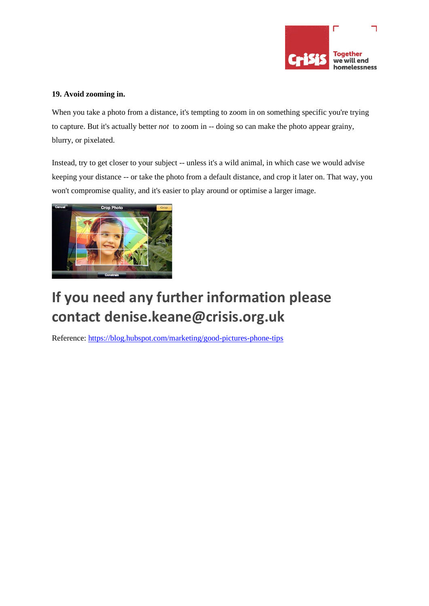

# **19. Avoid zooming in.**

When you take a photo from a distance, it's tempting to zoom in on something specific you're trying to capture. But it's actually better *not* to zoom in -- doing so can make the photo appear grainy, blurry, or pixelated.

Instead, try to get closer to your subject -- unless it's a wild animal, in which case we would advise keeping your distance -- or take the photo from a default distance, and crop it later on. That way, you won't compromise quality, and it's easier to play around or optimise a larger image.



# **If you need any further information please contact denise.keane@crisis.org.uk**

Reference:<https://blog.hubspot.com/marketing/good-pictures-phone-tips>